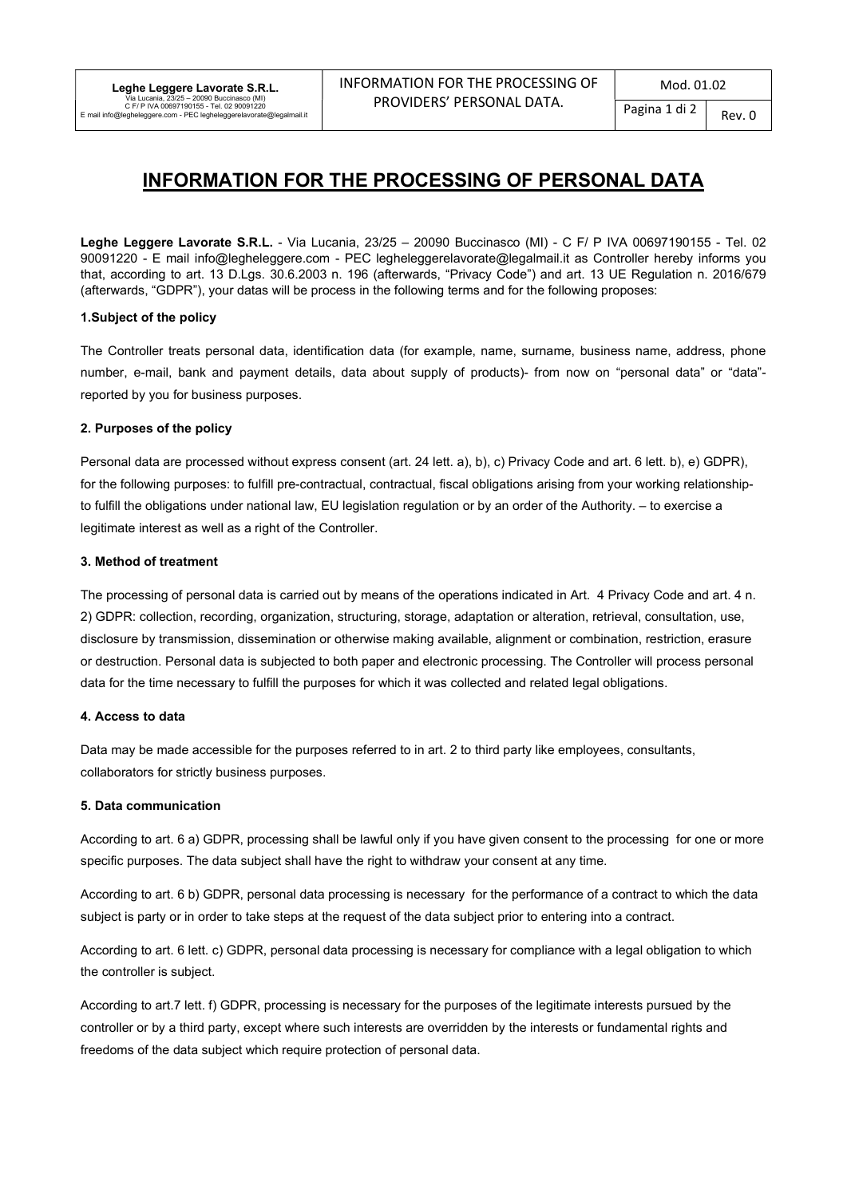# INFORMATION FOR THE PROCESSING OF PERSONAL DATA

Leghe Leggere Lavorate S.R.L. - Via Lucania, 23/25 – 20090 Buccinasco (MI) - C F/ P IVA 00697190155 - Tel. 02 90091220 - E mail info@legheleggere.com - PEC legheleggerelavorate@legalmail.it as Controller hereby informs you that, according to art. 13 D.Lgs. 30.6.2003 n. 196 (afterwards, "Privacy Code") and art. 13 UE Regulation n. 2016/679 (afterwards, "GDPR"), your datas will be process in the following terms and for the following proposes:

### 1.Subject of the policy

The Controller treats personal data, identification data (for example, name, surname, business name, address, phone number, e-mail, bank and payment details, data about supply of products)- from now on "personal data" or "data" reported by you for business purposes.

# 2. Purposes of the policy

Personal data are processed without express consent (art. 24 lett. a), b), c) Privacy Code and art. 6 lett. b), e) GDPR), for the following purposes: to fulfill pre-contractual, contractual, fiscal obligations arising from your working relationshipto fulfill the obligations under national law, EU legislation regulation or by an order of the Authority. – to exercise a legitimate interest as well as a right of the Controller.

# 3. Method of treatment

The processing of personal data is carried out by means of the operations indicated in Art. 4 Privacy Code and art. 4 n. 2) GDPR: collection, recording, organization, structuring, storage, adaptation or alteration, retrieval, consultation, use, disclosure by transmission, dissemination or otherwise making available, alignment or combination, restriction, erasure or destruction. Personal data is subjected to both paper and electronic processing. The Controller will process personal data for the time necessary to fulfill the purposes for which it was collected and related legal obligations.

### 4. Access to data

Data may be made accessible for the purposes referred to in art. 2 to third party like employees, consultants, collaborators for strictly business purposes.

### 5. Data communication

According to art. 6 a) GDPR, processing shall be lawful only if you have given consent to the processing for one or more specific purposes. The data subject shall have the right to withdraw your consent at any time.

According to art. 6 b) GDPR, personal data processing is necessary for the performance of a contract to which the data subject is party or in order to take steps at the request of the data subject prior to entering into a contract.

According to art. 6 lett. c) GDPR, personal data processing is necessary for compliance with a legal obligation to which the controller is subject.

According to art.7 lett. f) GDPR, processing is necessary for the purposes of the legitimate interests pursued by the controller or by a third party, except where such interests are overridden by the interests or fundamental rights and freedoms of the data subject which require protection of personal data.